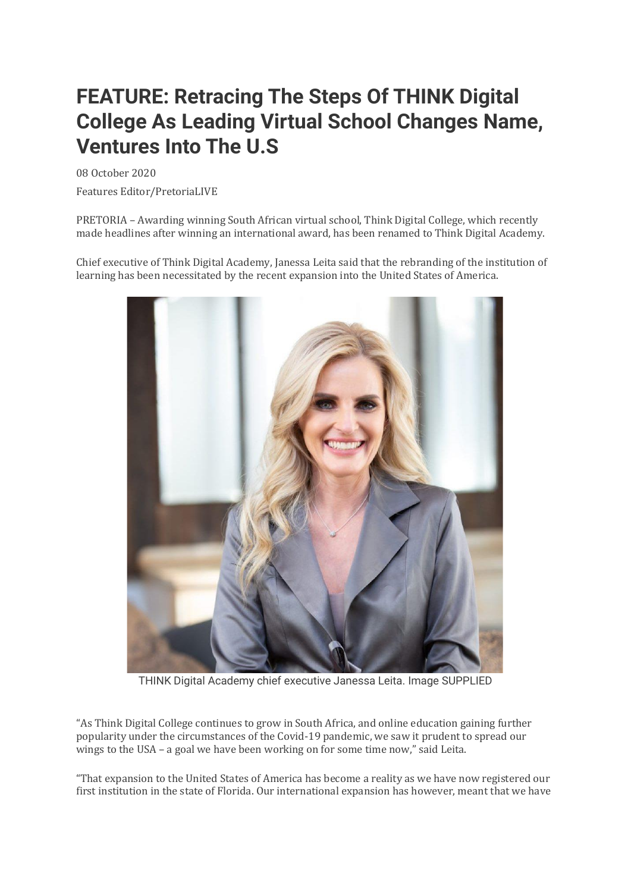## **FEATURE: Retracing The Steps Of THINK Digital College As Leading Virtual School Changes Name, Ventures Into The U.S**

08 October 2020

Features Editor/PretoriaLIVE

PRETORIA – Awarding winning South African virtual school, Think Digital College, which recently made headlines after winning an international award, has been renamed to Think Digital Academy.

Chief executive of Think Digital Academy, Janessa Leita said that the rebranding of the institution of learning has been necessitated by the recent expansion into the United States of America.



THINK Digital Academy chief executive Janessa Leita. Image SUPPLIED

"As Think Digital College continues to grow in South Africa, and online education gaining further popularity under the circumstances of the Covid-19 pandemic, we saw it prudent to spread our wings to the USA – a goal we have been working on for some time now," said Leita.

"That expansion to the United States of America has become a reality as we have now registered our first institution in the state of Florida. Our international expansion has however, meant that we have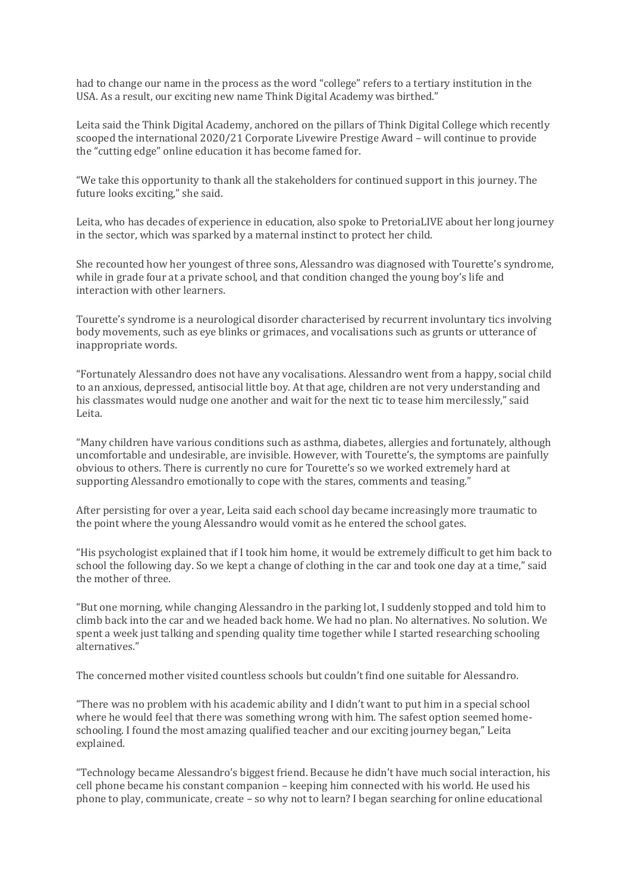had to change our name in the process as the word "college" refers to a tertiary institution in the USA. As a result, our exciting new name Think Digital Academy was birthed."

Leita said the Think Digital Academy, anchored on the pillars of Think Digital College which recently scooped the international 2020/21 Corporate Livewire Prestige Award – will continue to provide the "cutting edge" online education it has become famed for.

"We take this opportunity to thank all the stakeholders for continued support in this journey. The future looks exciting," she said.

Leita, who has decades of experience in education, also spoke to PretoriaLIVE about her long journey in the sector, which was sparked by a maternal instinct to protect her child.

She recounted how her youngest of three sons, Alessandro was diagnosed with Tourette's syndrome, while in grade four at a private school, and that condition changed the young boy's life and interaction with other learners.

Tourette's syndrome is a neurological disorder characterised by recurrent involuntary tics involving body movements, such as eye blinks or grimaces, and vocalisations such as grunts or utterance of inappropriate words.

"Fortunately Alessandro does not have any vocalisations. Alessandro went from a happy, social child to an anxious, depressed, antisocial little boy. At that age, children are not very understanding and his classmates would nudge one another and wait for the next tic to tease him mercilessly," said Leita.

"Many children have various conditions such as asthma, diabetes, allergies and fortunately, although uncomfortable and undesirable, are invisible. However, with Tourette's, the symptoms are painfully obvious to others. There is currently no cure for Tourette's so we worked extremely hard at supporting Alessandro emotionally to cope with the stares, comments and teasing."

After persisting for over a year, Leita said each school day became increasingly more traumatic to the point where the young Alessandro would vomit as he entered the school gates.

"His psychologist explained that if I took him home, it would be extremely difficult to get him back to school the following day. So we kept a change of clothing in the car and took one day at a time," said the mother of three.

"But one morning, while changing Alessandro in the parking lot, I suddenly stopped and told him to climb back into the car and we headed back home. We had no plan. No alternatives. No solution. We spent a week just talking and spending quality time together while I started researching schooling alternatives."

The concerned mother visited countless schools but couldn't find one suitable for Alessandro.

"There was no problem with his academic ability and I didn't want to put him in a special school where he would feel that there was something wrong with him. The safest option seemed homeschooling. I found the most amazing qualified teacher and our exciting journey began," Leita explained.

"Technology became Alessandro's biggest friend. Because he didn't have much social interaction, his cell phone became his constant companion – keeping him connected with his world. He used his phone to play, communicate, create – so why not to learn? I began searching for online educational